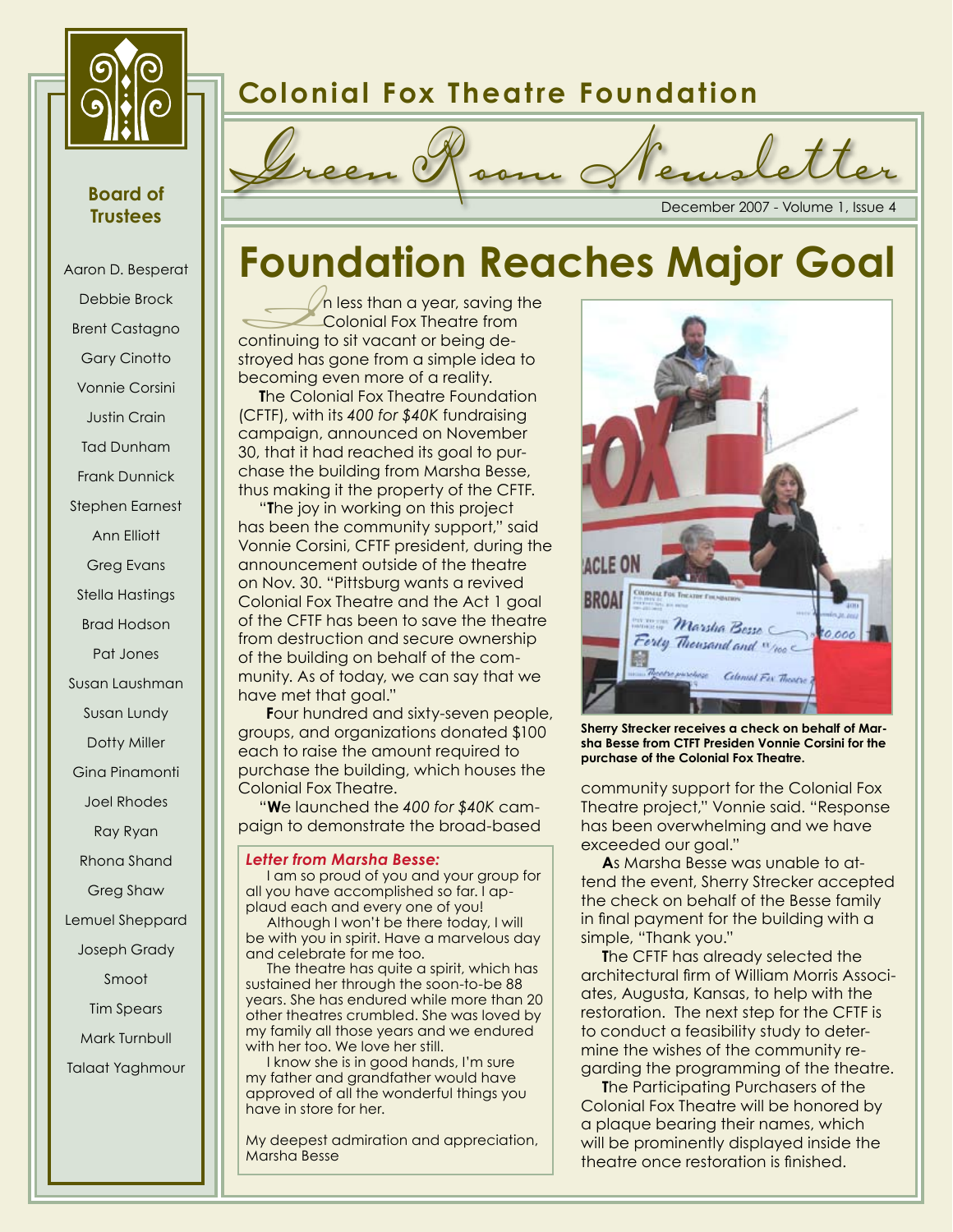

## **Board of Trustees**

Aaron D. Besperat Debbie Brock Brent Castagno Gary Cinotto Vonnie Corsini Justin Crain Tad Dunham Frank Dunnick Stephen Earnest Ann Elliott Greg Evans Stella Hastings Brad Hodson Pat Jones Susan Laushman Susan Lundy Dotty Miller Gina Pinamonti Joel Rhodes Ray Ryan Rhona Shand Greg Shaw Lemuel Sheppard Joseph Grady Smoot Tim Spears Mark Turnbull Talaat Yaghmour

# **Colonial Fox Theatre Foundation**



# **Foundation Reaches Major Goal**

In less than a year, saving the<br>
Colonial Fox Theatre from<br>
continuing to sit vacant or being de-<br>
stroyed bar, sano from a simple idea to Colonial Fox Theatre from stroyed has gone from a simple idea to becoming even more of a reality.

**The Colonial Fox Theatre Foundation** (CFTF), with its *400 for \$40K* fundraising campaign, announced on November 30, that it had reached its goal to purchase the building from Marsha Besse, thus making it the property of the CFTF.

"**T**he joy in working on this project has been the community support," said Vonnie Corsini, CFTF president, during the announcement outside of the theatre on Nov. 30. "Pittsburg wants a revived Colonial Fox Theatre and the Act 1 goal of the CFTF has been to save the theatre from destruction and secure ownership of the building on behalf of the community. As of today, we can say that we have met that goal."

**F**our hundred and sixty-seven people, groups, and organizations donated \$100 each to raise the amount required to purchase the building, which houses the Colonial Fox Theatre.

"**W**e launched the *400 for \$40K* campaign to demonstrate the broad-based

#### *Letter from Marsha Besse:*

I am so proud of you and your group for all you have accomplished so far. I applaud each and every one of you!

Although I won't be there today, I will be with you in spirit. Have a marvelous day and celebrate for me too.

The theatre has quite a spirit, which has sustained her through the soon-to-be 88 years. She has endured while more than 20 other theatres crumbled. She was loved by my family all those years and we endured with her too. We love her still.

I know she is in good hands, I'm sure my father and grandfather would have approved of all the wonderful things you have in store for her.

My deepest admiration and appreciation, Marsha Besse



**Sherry Strecker receives a check on behalf of Marsha Besse from CTFT Presiden Vonnie Corsini for the purchase of the Colonial Fox Theatre.**

community support for the Colonial Fox Theatre project," Vonnie said. "Response has been overwhelming and we have exceeded our goal."

**A**s Marsha Besse was unable to attend the event, Sherry Strecker accepted the check on behalf of the Besse family in final payment for the building with a simple, "Thank you."

**T**he CFTF has already selected the architectural firm of William Morris Associates, Augusta, Kansas, to help with the restoration. The next step for the CFTF is to conduct a feasibility study to determine the wishes of the community regarding the programming of the theatre.

**T**he Participating Purchasers of the Colonial Fox Theatre will be honored by a plaque bearing their names, which will be prominently displayed inside the theatre once restoration is finished.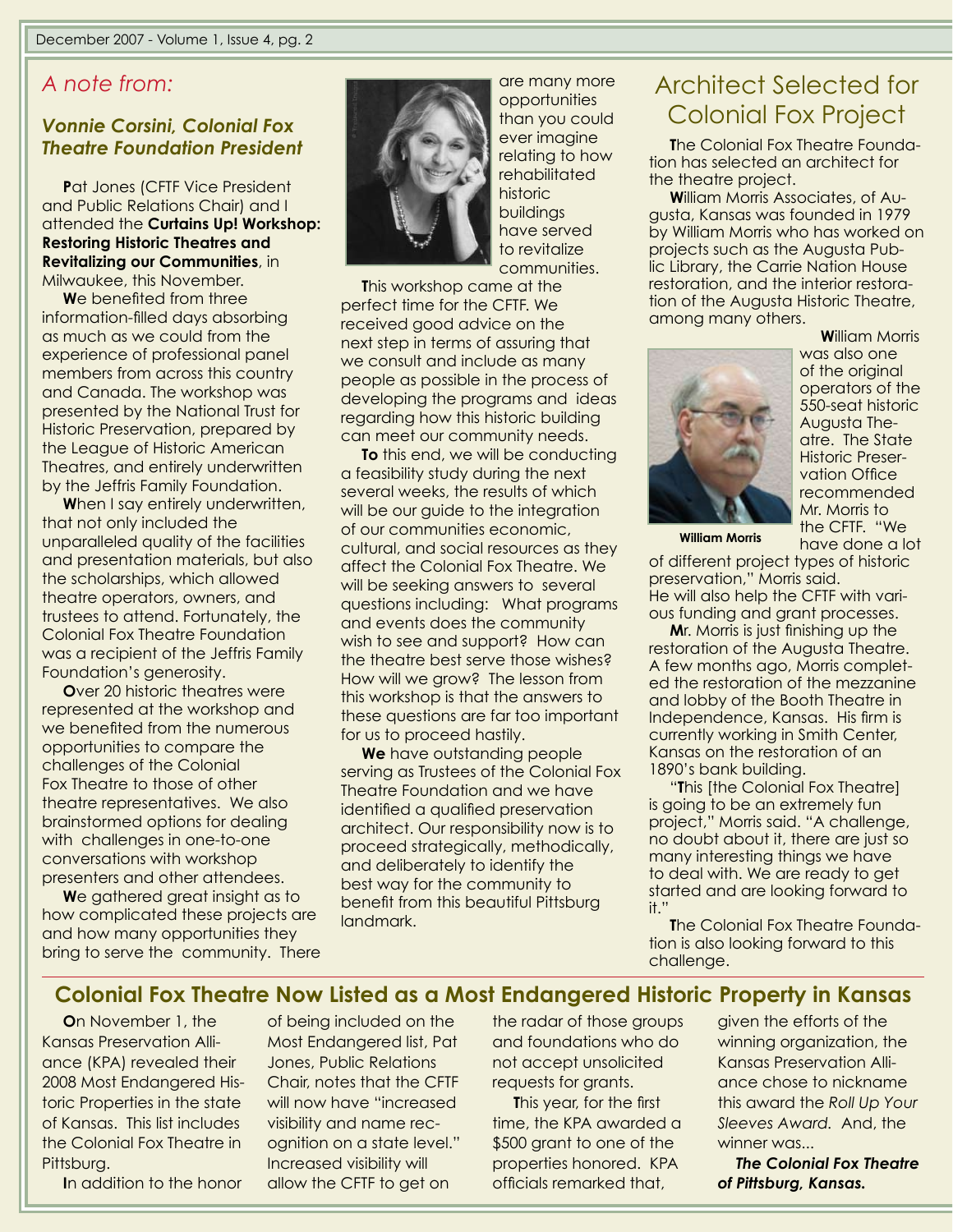## *A note from:*

### *Vonnie Corsini, Colonial Fox Theatre Foundation President*

**P**at Jones (CFTF Vice President and Public Relations Chair) and I attended the **Curtains Up! Workshop: Restoring Historic Theatres and Revitalizing our Communities**, in Milwaukee, this November.

**W**e benefited from three information-filled days absorbing as much as we could from the experience of professional panel members from across this country and Canada. The workshop was presented by the National Trust for Historic Preservation, prepared by the League of Historic American Theatres, and entirely underwritten by the Jeffris Family Foundation.

When I say entirely underwritten, that not only included the unparalleled quality of the facilities and presentation materials, but also the scholarships, which allowed theatre operators, owners, and trustees to attend. Fortunately, the Colonial Fox Theatre Foundation was a recipient of the Jeffris Family Foundation's generosity.

**O**ver 20 historic theatres were represented at the workshop and we benefited from the numerous opportunities to compare the challenges of the Colonial Fox Theatre to those of other theatre representatives. We also brainstormed options for dealing with challenges in one-to-one conversations with workshop presenters and other attendees.

**W**e gathered great insight as to how complicated these projects are and how many opportunities they bring to serve the community. There



are many more opportunities than you could ever imagine relating to how rehabilitated historic buildings have served to revitalize communities.

**T**his workshop came at the perfect time for the CFTF. We received good advice on the next step in terms of assuring that we consult and include as many people as possible in the process of developing the programs and ideas regarding how this historic building can meet our community needs.

**To** this end, we will be conducting a feasibility study during the next several weeks, the results of which will be our guide to the integration of our communities economic, cultural, and social resources as they affect the Colonial Fox Theatre. We will be seeking answers to several questions including: What programs and events does the community wish to see and support? How can the theatre best serve those wishes? How will we grow? The lesson from this workshop is that the answers to these questions are far too important for us to proceed hastily.

**We** have outstanding people serving as Trustees of the Colonial Fox Theatre Foundation and we have identified a qualified preservation architect. Our responsibility now is to proceed strategically, methodically, and deliberately to identify the best way for the community to benefit from this beautiful Pittsburg landmark.

## Architect Selected for Colonial Fox Project

**The Colonial Fox Theatre Founda**tion has selected an architect for the theatre project.

**W**illiam Morris Associates, of Augusta, Kansas was founded in 1979 by William Morris who has worked on projects such as the Augusta Public Library, the Carrie Nation House restoration, and the interior restoration of the Augusta Historic Theatre, among many others.



**W**illiam Morris was also one of the original operators of the 550-seat historic Augusta Theatre. The State Historic Preservation Office recommended Mr. Morris to the CFTF. "We have done a lot

**William Morris**

of different project types of historic preservation," Morris said. He will also help the CFTF with vari-

ous funding and grant processes.

**M**r. Morris is just finishing up the restoration of the Augusta Theatre. A few months ago, Morris completed the restoration of the mezzanine and lobby of the Booth Theatre in Independence, Kansas. His firm is currently working in Smith Center, Kansas on the restoration of an 1890's bank building.

"**T**his [the Colonial Fox Theatre] is going to be an extremely fun project," Morris said. "A challenge, no doubt about it, there are just so many interesting things we have to deal with. We are ready to get started and are looking forward to it."

**T**he Colonial Fox Theatre Foundation is also looking forward to this challenge.

## **Colonial Fox Theatre Now Listed as a Most Endangered Historic Property in Kansas**

**O**n November 1, the Kansas Preservation Alliance (KPA) revealed their 2008 Most Endangered Historic Properties in the state of Kansas. This list includes the Colonial Fox Theatre in Pittsburg.

**I**n addition to the honor

of being included on the Most Endangered list, Pat Jones, Public Relations Chair, notes that the CFTF will now have "increased visibility and name recognition on a state level." Increased visibility will allow the CFTF to get on

the radar of those groups and foundations who do not accept unsolicited requests for grants.

**T**his year, for the first time, the KPA awarded a \$500 grant to one of the properties honored. KPA officials remarked that,

given the efforts of the winning organization, the Kansas Preservation Alliance chose to nickname this award the *Roll Up Your Sleeves Award.* And, the winner was...

*The Colonial Fox Theatre of Pittsburg, Kansas.*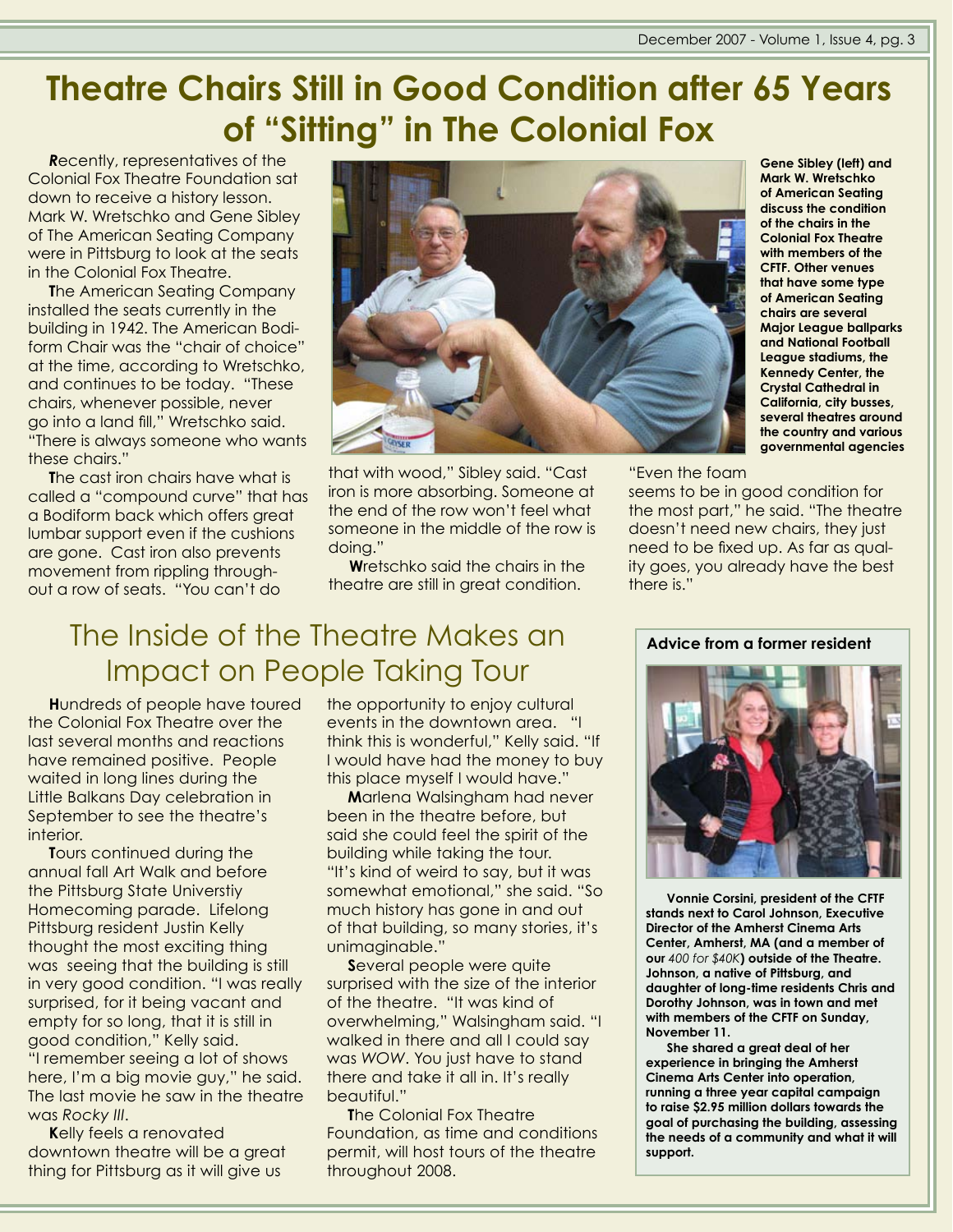# **Theatre Chairs Still in Good Condition after 65 Years of "Sitting" in The Colonial Fox**

*R*ecently, representatives of the Colonial Fox Theatre Foundation sat down to receive a history lesson. Mark W. Wretschko and Gene Sibley of The American Seating Company were in Pittsburg to look at the seats in the Colonial Fox Theatre.

**T**he American Seating Company installed the seats currently in the building in 1942. The American Bodiform Chair was the "chair of choice" at the time, according to Wretschko, and continues to be today. "These chairs, whenever possible, never go into a land fill," Wretschko said. "There is always someone who wants these chairs."

**T**he cast iron chairs have what is called a "compound curve" that has a Bodiform back which offers great lumbar support even if the cushions are gone. Cast iron also prevents movement from rippling throughout a row of seats. "You can't do



that with wood," Sibley said. "Cast iron is more absorbing. Someone at the end of the row won't feel what someone in the middle of the row is doing."

**W**retschko said the chairs in the theatre are still in great condition.

**Gene Sibley (left) and Mark W. Wretschko of American Seating discuss the condition of the chairs in the Colonial Fox Theatre with members of the CFTF. Other venues that have some type of American Seating chairs are several Major League ballparks and National Football League stadiums, the Kennedy Center, the Crystal Cathedral in California, city busses, several theatres around the country and various governmental agencies**

"Even the foam

seems to be in good condition for the most part," he said. "The theatre doesn't need new chairs, they just need to be fixed up. As far as quality goes, you already have the best there is."

## The Inside of the Theatre Makes an Impact on People Taking Tour

**H**undreds of people have toured the Colonial Fox Theatre over the last several months and reactions have remained positive. People waited in long lines during the Little Balkans Day celebration in September to see the theatre's interior.

**T**ours continued during the annual fall Art Walk and before the Pittsburg State Universtiy Homecoming parade. Lifelong Pittsburg resident Justin Kelly thought the most exciting thing was seeing that the building is still in very good condition. "I was really surprised, for it being vacant and empty for so long, that it is still in good condition," Kelly said. "I remember seeing a lot of shows here, I'm a big movie guy," he said. The last movie he saw in the theatre was *Rocky III*.

**K**elly feels a renovated downtown theatre will be a great thing for Pittsburg as it will give us

the opportunity to enjoy cultural events in the downtown area. "I think this is wonderful," Kelly said. "If I would have had the money to buy this place myself I would have."

**M**arlena Walsingham had never been in the theatre before, but said she could feel the spirit of the building while taking the tour. "It's kind of weird to say, but it was somewhat emotional," she said. "So much history has gone in and out of that building, so many stories, it's unimaginable."

**S**everal people were quite surprised with the size of the interior of the theatre. "It was kind of overwhelming," Walsingham said. "I walked in there and all I could say was *WOW*. You just have to stand there and take it all in. It's really beautiful."

**T**he Colonial Fox Theatre Foundation, as time and conditions permit, will host tours of the theatre throughout 2008.

#### **Advice from a former resident**



**Vonnie Corsini, president of the CFTF stands next to Carol Johnson, Executive Director of the Amherst Cinema Arts Center, Amherst, MA (and a member of our** *400 for \$40K***) outside of the Theatre. Johnson, a native of Pittsburg, and daughter of long-time residents Chris and Dorothy Johnson, was in town and met with members of the CFTF on Sunday, November 11.**

**She shared a great deal of her experience in bringing the Amherst Cinema Arts Center into operation, running a three year capital campaign to raise \$2.95 million dollars towards the goal of purchasing the building, assessing the needs of a community and what it will support.**